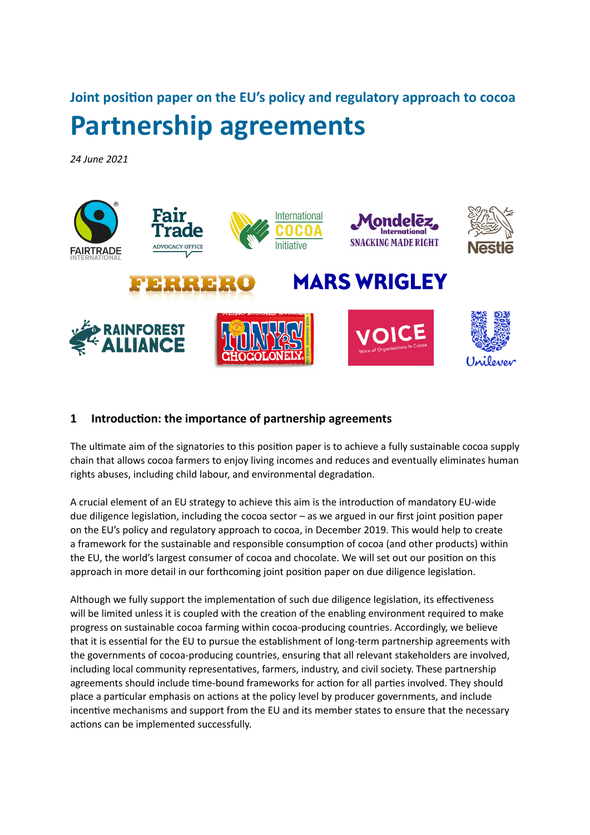**Joint position paper on the EU's policy and regulatory approach to cocoa Partnership agreements** 

*24 June 2021*



# **1 Introduction: the importance of partnership agreements**

The ultimate aim of the signatories to this position paper is to achieve a fully sustainable cocoa supply chain that allows cocoa farmers to enjoy living incomes and reduces and eventually eliminates human rights abuses, including child labour, and environmental degradation.

A crucial element of an EU strategy to achieve this aim is the introduction of mandatory EU-wide due diligence legislation, including the cocoa sector – as we argued in our first joint position paper on the EU's policy and regulatory approach to cocoa, in December 2019. This would help to create a framework for the sustainable and responsible consumption of cocoa (and other products) within the EU, the world's largest consumer of cocoa and chocolate. We will set out our position on this approach in more detail in our forthcoming joint position paper on due diligence legislation.

Although we fully support the implementation of such due diligence legislation, its effectiveness will be limited unless it is coupled with the creation of the enabling environment required to make progress on sustainable cocoa farming within cocoa-producing countries. Accordingly, we believe that it is essential for the EU to pursue the establishment of long-term partnership agreements with the governments of cocoa-producing countries, ensuring that all relevant stakeholders are involved, including local community representatives, farmers, industry, and civil society. These partnership agreements should include time-bound frameworks for action for all parties involved. They should place a particular emphasis on actions at the policy level by producer governments, and include incentive mechanisms and support from the EU and its member states to ensure that the necessary actions can be implemented successfully.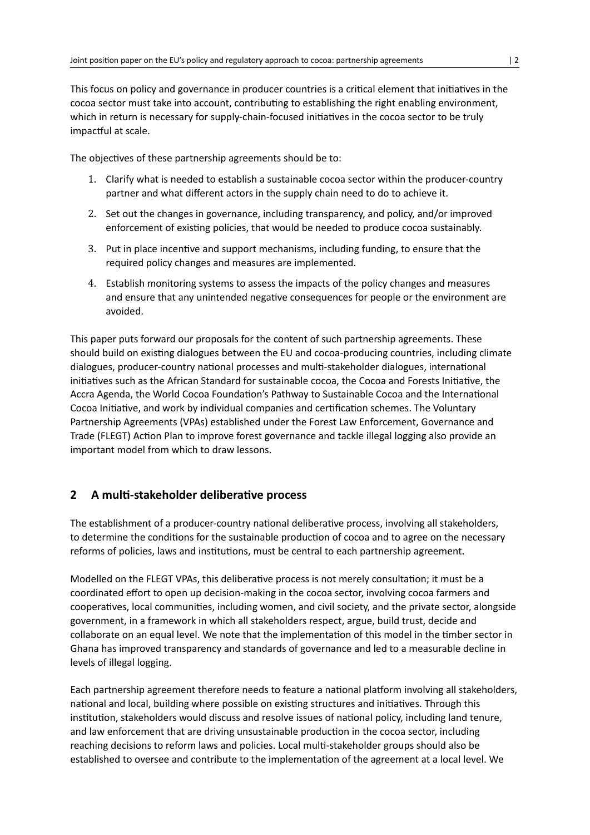This focus on policy and governance in producer countries is a critical element that initiatives in the cocoa sector must take into account, contributing to establishing the right enabling environment, which in return is necessary for supply-chain-focused initiatives in the cocoa sector to be truly impactful at scale.

The objectives of these partnership agreements should be to:

- 1. Clarify what is needed to establish a sustainable cocoa sector within the producer-country partner and what different actors in the supply chain need to do to achieve it.
- 2. Set out the changes in governance, including transparency, and policy, and/or improved enforcement of existing policies, that would be needed to produce cocoa sustainably.
- 3. Put in place incentive and support mechanisms, including funding, to ensure that the required policy changes and measures are implemented.
- 4. Establish monitoring systems to assess the impacts of the policy changes and measures and ensure that any unintended negative consequences for people or the environment are avoided.

This paper puts forward our proposals for the content of such partnership agreements. These should build on existing dialogues between the EU and cocoa-producing countries, including climate dialogues, producer-country national processes and multi-stakeholder dialogues, international initiatives such as the African Standard for sustainable cocoa, the Cocoa and Forests Initiative, the Accra Agenda, the World Cocoa Foundation's Pathway to Sustainable Cocoa and the International Cocoa Initiative, and work by individual companies and certification schemes. The Voluntary Partnership Agreements (VPAs) established under the Forest Law Enforcement, Governance and Trade (FLEGT) Action Plan to improve forest governance and tackle illegal logging also provide an important model from which to draw lessons.

# **2 A multi-stakeholder deliberative process**

The establishment of a producer-country national deliberative process, involving all stakeholders, to determine the conditions for the sustainable production of cocoa and to agree on the necessary reforms of policies, laws and institutions, must be central to each partnership agreement.

Modelled on the FLEGT VPAs, this deliberative process is not merely consultation; it must be a coordinated effort to open up decision-making in the cocoa sector, involving cocoa farmers and cooperatives, local communities, including women, and civil society, and the private sector, alongside government, in a framework in which all stakeholders respect, argue, build trust, decide and collaborate on an equal level. We note that the implementation of this model in the timber sector in Ghana has improved transparency and standards of governance and led to a measurable decline in levels of illegal logging.

Each partnership agreement therefore needs to feature a national platform involving all stakeholders, national and local, building where possible on existing structures and initiatives. Through this institution, stakeholders would discuss and resolve issues of national policy, including land tenure, and law enforcement that are driving unsustainable production in the cocoa sector, including reaching decisions to reform laws and policies. Local multi-stakeholder groups should also be established to oversee and contribute to the implementation of the agreement at a local level. We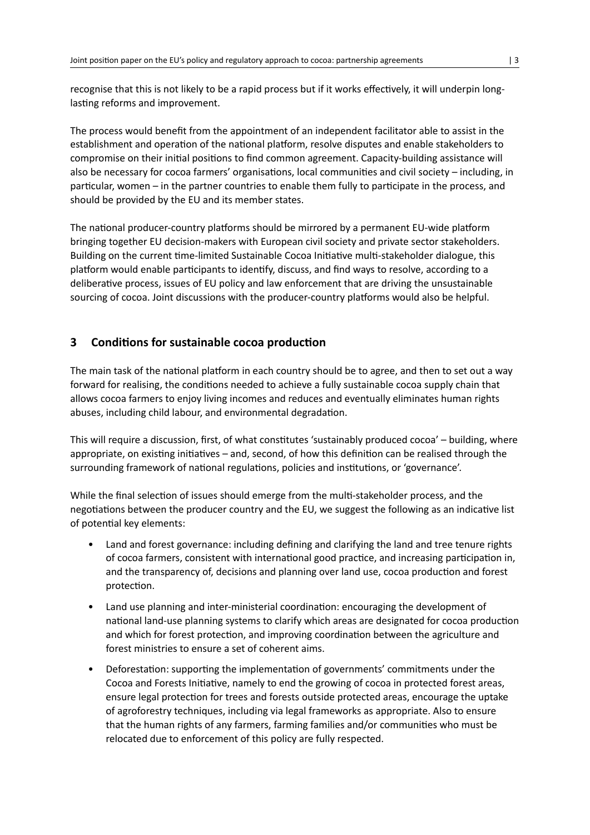recognise that this is not likely to be a rapid process but if it works effectively, it will underpin longlasting reforms and improvement.

The process would benefit from the appointment of an independent facilitator able to assist in the establishment and operation of the national platform, resolve disputes and enable stakeholders to compromise on their initial positions to find common agreement. Capacity-building assistance will also be necessary for cocoa farmers' organisations, local communities and civil society – including, in particular, women – in the partner countries to enable them fully to participate in the process, and should be provided by the EU and its member states.

The national producer-country platforms should be mirrored by a permanent EU-wide platform bringing together EU decision-makers with European civil society and private sector stakeholders. Building on the current time-limited Sustainable Cocoa Initiative multi-stakeholder dialogue, this platform would enable participants to identify, discuss, and find ways to resolve, according to a deliberative process, issues of EU policy and law enforcement that are driving the unsustainable sourcing of cocoa. Joint discussions with the producer-country platforms would also be helpful.

# **3 Conditions for sustainable cocoa production**

The main task of the national platform in each country should be to agree, and then to set out a way forward for realising, the conditions needed to achieve a fully sustainable cocoa supply chain that allows cocoa farmers to enjoy living incomes and reduces and eventually eliminates human rights abuses, including child labour, and environmental degradation.

This will require a discussion, first, of what constitutes 'sustainably produced cocoa' – building, where appropriate, on existing initiatives – and, second, of how this definition can be realised through the surrounding framework of national regulations, policies and institutions, or 'governance'.

While the final selection of issues should emerge from the multi-stakeholder process, and the negotiations between the producer country and the EU, we suggest the following as an indicative list of potential key elements:

- Land and forest governance: including defining and clarifying the land and tree tenure rights of cocoa farmers, consistent with international good practice, and increasing participation in, and the transparency of, decisions and planning over land use, cocoa production and forest protection.
- Land use planning and inter-ministerial coordination: encouraging the development of national land-use planning systems to clarify which areas are designated for cocoa production and which for forest protection, and improving coordination between the agriculture and forest ministries to ensure a set of coherent aims.
- Deforestation: supporting the implementation of governments' commitments under the Cocoa and Forests Initiative, namely to end the growing of cocoa in protected forest areas, ensure legal protection for trees and forests outside protected areas, encourage the uptake of agroforestry techniques, including via legal frameworks as appropriate. Also to ensure that the human rights of any farmers, farming families and/or communities who must be relocated due to enforcement of this policy are fully respected.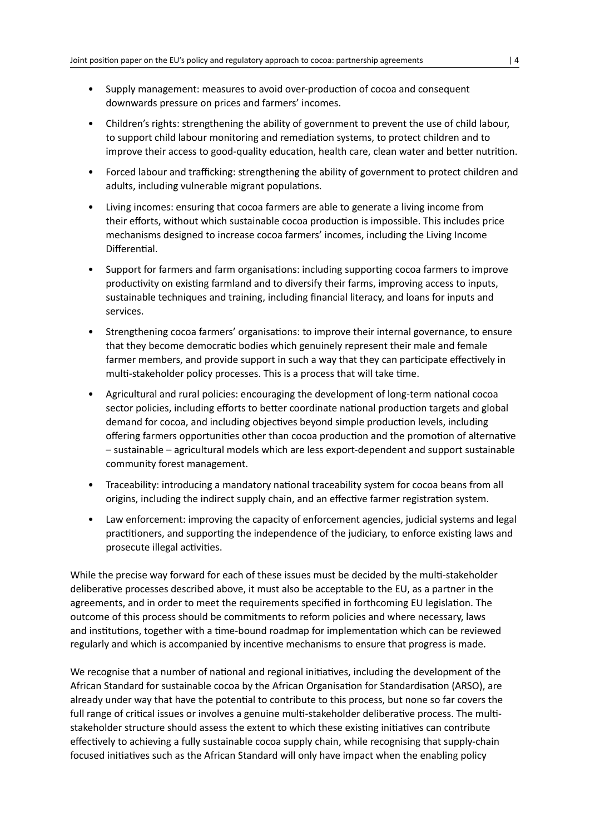- Supply management: measures to avoid over-production of cocoa and consequent downwards pressure on prices and farmers' incomes.
- Children's rights: strengthening the ability of government to prevent the use of child labour, to support child labour monitoring and remediation systems, to protect children and to improve their access to good-quality education, health care, clean water and better nutrition.
- Forced labour and trafficking: strengthening the ability of government to protect children and adults, including vulnerable migrant populations.
- Living incomes: ensuring that cocoa farmers are able to generate a living income from their efforts, without which sustainable cocoa production is impossible. This includes price mechanisms designed to increase cocoa farmers' incomes, including the Living Income Differential.
- Support for farmers and farm organisations: including supporting cocoa farmers to improve productivity on existing farmland and to diversify their farms, improving access to inputs, sustainable techniques and training, including financial literacy, and loans for inputs and services.
- Strengthening cocoa farmers' organisations: to improve their internal governance, to ensure that they become democratic bodies which genuinely represent their male and female farmer members, and provide support in such a way that they can participate effectively in multi-stakeholder policy processes. This is a process that will take time.
- Agricultural and rural policies: encouraging the development of long-term national cocoa sector policies, including efforts to better coordinate national production targets and global demand for cocoa, and including objectives beyond simple production levels, including offering farmers opportunities other than cocoa production and the promotion of alternative – sustainable – agricultural models which are less export-dependent and support sustainable community forest management.
- Traceability: introducing a mandatory national traceability system for cocoa beans from all origins, including the indirect supply chain, and an effective farmer registration system.
- Law enforcement: improving the capacity of enforcement agencies, judicial systems and legal practitioners, and supporting the independence of the judiciary, to enforce existing laws and prosecute illegal activities.

While the precise way forward for each of these issues must be decided by the multi-stakeholder deliberative processes described above, it must also be acceptable to the EU, as a partner in the agreements, and in order to meet the requirements specified in forthcoming EU legislation. The outcome of this process should be commitments to reform policies and where necessary, laws and institutions, together with a time-bound roadmap for implementation which can be reviewed regularly and which is accompanied by incentive mechanisms to ensure that progress is made.

We recognise that a number of national and regional initiatives, including the development of the African Standard for sustainable cocoa by the African Organisation for Standardisation (ARSO), are already under way that have the potential to contribute to this process, but none so far covers the full range of critical issues or involves a genuine multi-stakeholder deliberative process. The multistakeholder structure should assess the extent to which these existing initiatives can contribute effectively to achieving a fully sustainable cocoa supply chain, while recognising that supply-chain focused initiatives such as the African Standard will only have impact when the enabling policy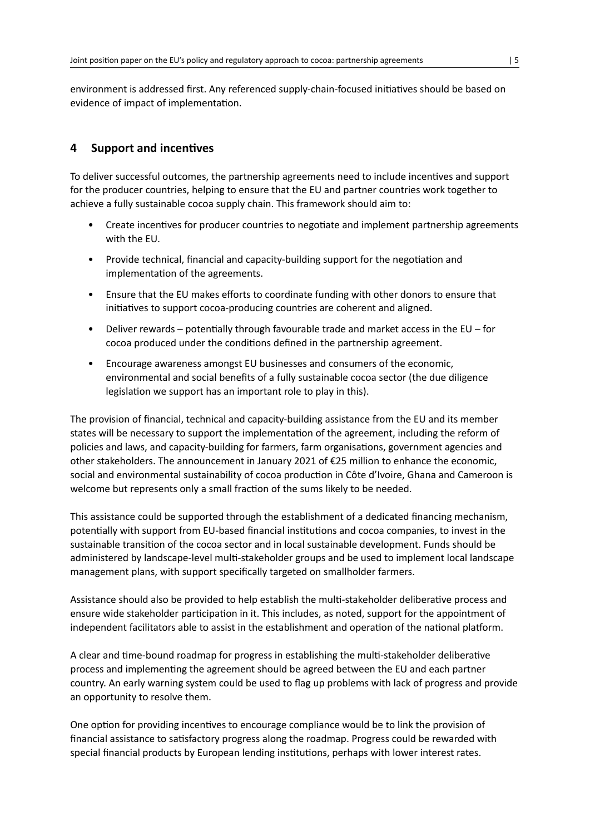environment is addressed first. Any referenced supply-chain-focused initiatives should be based on evidence of impact of implementation.

# **4 Support and incentives**

To deliver successful outcomes, the partnership agreements need to include incentives and support for the producer countries, helping to ensure that the EU and partner countries work together to achieve a fully sustainable cocoa supply chain. This framework should aim to:

- Create incentives for producer countries to negotiate and implement partnership agreements with the EU.
- Provide technical, financial and capacity-building support for the negotiation and implementation of the agreements.
- Ensure that the EU makes efforts to coordinate funding with other donors to ensure that initiatives to support cocoa-producing countries are coherent and aligned.
- Deliver rewards potentially through favourable trade and market access in the EU for cocoa produced under the conditions defined in the partnership agreement.
- Encourage awareness amongst EU businesses and consumers of the economic, environmental and social benefits of a fully sustainable cocoa sector (the due diligence legislation we support has an important role to play in this).

The provision of financial, technical and capacity-building assistance from the EU and its member states will be necessary to support the implementation of the agreement, including the reform of policies and laws, and capacity-building for farmers, farm organisations, government agencies and other stakeholders. The announcement in January 2021 of €25 million to enhance the economic, social and environmental sustainability of cocoa production in Côte d'Ivoire, Ghana and Cameroon is welcome but represents only a small fraction of the sums likely to be needed.

This assistance could be supported through the establishment of a dedicated financing mechanism, potentially with support from EU-based financial institutions and cocoa companies, to invest in the sustainable transition of the cocoa sector and in local sustainable development. Funds should be administered by landscape-level multi-stakeholder groups and be used to implement local landscape management plans, with support specifically targeted on smallholder farmers.

Assistance should also be provided to help establish the multi-stakeholder deliberative process and ensure wide stakeholder participation in it. This includes, as noted, support for the appointment of independent facilitators able to assist in the establishment and operation of the national platform.

A clear and time-bound roadmap for progress in establishing the multi-stakeholder deliberative process and implementing the agreement should be agreed between the EU and each partner country. An early warning system could be used to flag up problems with lack of progress and provide an opportunity to resolve them.

One option for providing incentives to encourage compliance would be to link the provision of financial assistance to satisfactory progress along the roadmap. Progress could be rewarded with special financial products by European lending institutions, perhaps with lower interest rates.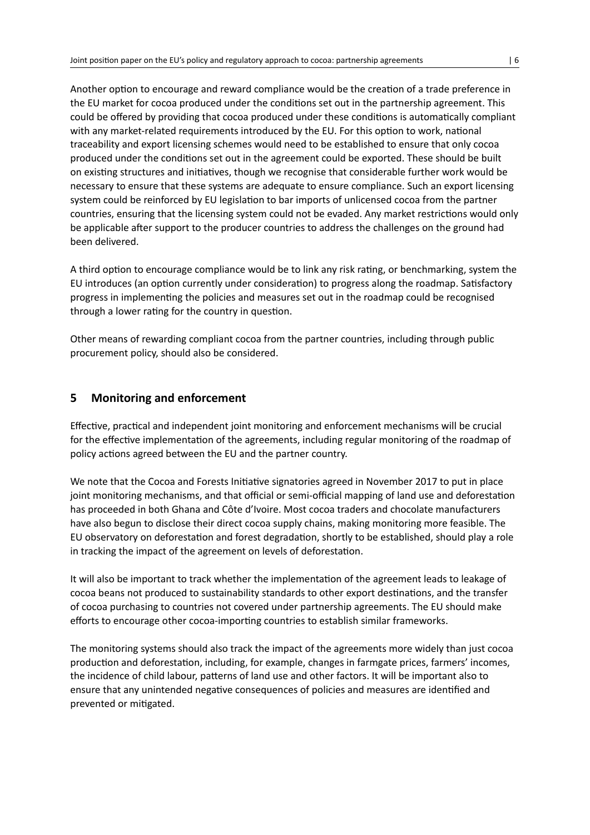Another option to encourage and reward compliance would be the creation of a trade preference in the EU market for cocoa produced under the conditions set out in the partnership agreement. This could be offered by providing that cocoa produced under these conditions is automatically compliant with any market-related requirements introduced by the EU. For this option to work, national traceability and export licensing schemes would need to be established to ensure that only cocoa produced under the conditions set out in the agreement could be exported. These should be built on existing structures and initiatives, though we recognise that considerable further work would be necessary to ensure that these systems are adequate to ensure compliance. Such an export licensing system could be reinforced by EU legislation to bar imports of unlicensed cocoa from the partner countries, ensuring that the licensing system could not be evaded. Any market restrictions would only be applicable after support to the producer countries to address the challenges on the ground had been delivered.

A third option to encourage compliance would be to link any risk rating, or benchmarking, system the EU introduces (an option currently under consideration) to progress along the roadmap. Satisfactory progress in implementing the policies and measures set out in the roadmap could be recognised through a lower rating for the country in question.

Other means of rewarding compliant cocoa from the partner countries, including through public procurement policy, should also be considered.

## **5 Monitoring and enforcement**

Effective, practical and independent joint monitoring and enforcement mechanisms will be crucial for the effective implementation of the agreements, including regular monitoring of the roadmap of policy actions agreed between the EU and the partner country.

We note that the Cocoa and Forests Initiative signatories agreed in November 2017 to put in place joint monitoring mechanisms, and that official or semi-official mapping of land use and deforestation has proceeded in both Ghana and Côte d'Ivoire. Most cocoa traders and chocolate manufacturers have also begun to disclose their direct cocoa supply chains, making monitoring more feasible. The EU observatory on deforestation and forest degradation, shortly to be established, should play a role in tracking the impact of the agreement on levels of deforestation.

It will also be important to track whether the implementation of the agreement leads to leakage of cocoa beans not produced to sustainability standards to other export destinations, and the transfer of cocoa purchasing to countries not covered under partnership agreements. The EU should make efforts to encourage other cocoa-importing countries to establish similar frameworks.

The monitoring systems should also track the impact of the agreements more widely than just cocoa production and deforestation, including, for example, changes in farmgate prices, farmers' incomes, the incidence of child labour, patterns of land use and other factors. It will be important also to ensure that any unintended negative consequences of policies and measures are identified and prevented or mitigated.